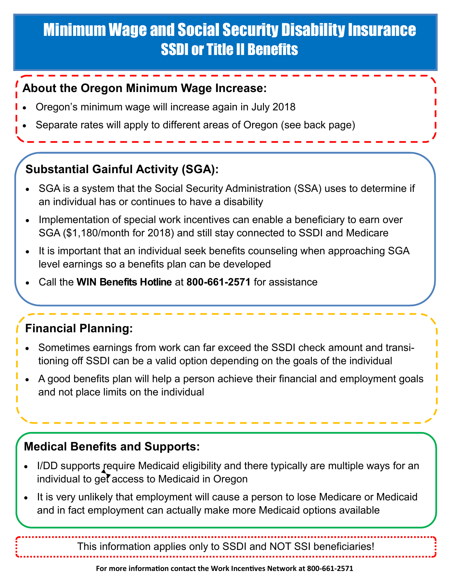# Minimum Wage and Social Security Disability Insurance SSDI or Title II Benefits

#### **About the Oregon Minimum Wage Increase:**

- Oregon's minimum wage will increase again in July 2018
- Separate rates will apply to different areas of Oregon (see back page)

## **Substantial Gainful Activity (SGA):**

- SGA is a system that the Social Security Administration (SSA) uses to determine if an individual has or continues to have a disability
- Implementation of special work incentives can enable a beneficiary to earn over SGA (\$1,180/month for 2018) and still stay connected to SSDI and Medicare
- It is important that an individual seek benefits counseling when approaching SGA level earnings so a benefits plan can be developed
- Call the **WIN Benefits Hotline** at **800-661-2571** for assistance

## **Financial Planning:**

- Sometimes earnings from work can far exceed the SSDI check amount and transitioning off SSDI can be a valid option depending on the goals of the individual
- A good benefits plan will help a person achieve their financial and employment goals and not place limits on the individual

#### **Medical Benefits and Supports:**

- I/DD supports require Medicaid eligibility and there typically are multiple ways for an individual to get access to Medicaid in Oregon
- It is very unlikely that employment will cause a person to lose Medicare or Medicaid and in fact employment can actually make more Medicaid options available

This information applies only to SSDI and NOT SSI beneficiaries!